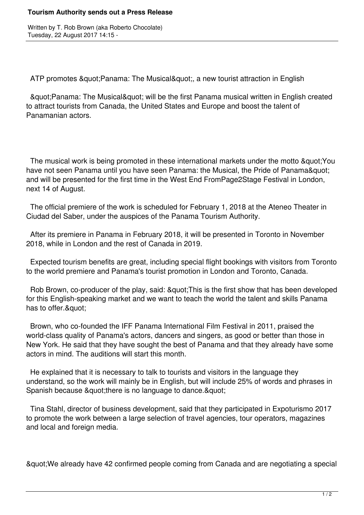## **Tourism Authority sends out a Press Release**

Written by T. Rob Brown (aka Roberto Chocolate) Tuesday, 22 August 2017 14:15 -

ATP promotes & quot: Panama: The Musical & quot:, a new tourist attraction in English

& quot; Panama: The Musical & quot; will be the first Panama musical written in English created to attract tourists from Canada, the United States and Europe and boost the talent of Panamanian actors.

The musical work is being promoted in these international markets under the motto & quot; You have not seen Panama until you have seen Panama: the Musical, the Pride of Panama" and will be presented for the first time in the West End FromPage2Stage Festival in London, next 14 of August.

 The official premiere of the work is scheduled for February 1, 2018 at the Ateneo Theater in Ciudad del Saber, under the auspices of the Panama Tourism Authority.

 After its premiere in Panama in February 2018, it will be presented in Toronto in November 2018, while in London and the rest of Canada in 2019.

 Expected tourism benefits are great, including special flight bookings with visitors from Toronto to the world premiere and Panama's tourist promotion in London and Toronto, Canada.

Rob Brown, co-producer of the play, said: & quot; This is the first show that has been developed for this English-speaking market and we want to teach the world the talent and skills Panama has to offer.&quot:

 Brown, who co-founded the IFF Panama International Film Festival in 2011, praised the world-class quality of Panama's actors, dancers and singers, as good or better than those in New York. He said that they have sought the best of Panama and that they already have some actors in mind. The auditions will start this month.

 He explained that it is necessary to talk to tourists and visitors in the language they understand, so the work will mainly be in English, but will include 25% of words and phrases in Spanish because & quot; there is no language to dance. & quot;

 Tina Stahl, director of business development, said that they participated in Expoturismo 2017 to promote the work between a large selection of travel agencies, tour operators, magazines and local and foreign media.

"We already have 42 confirmed people coming from Canada and are negotiating a special